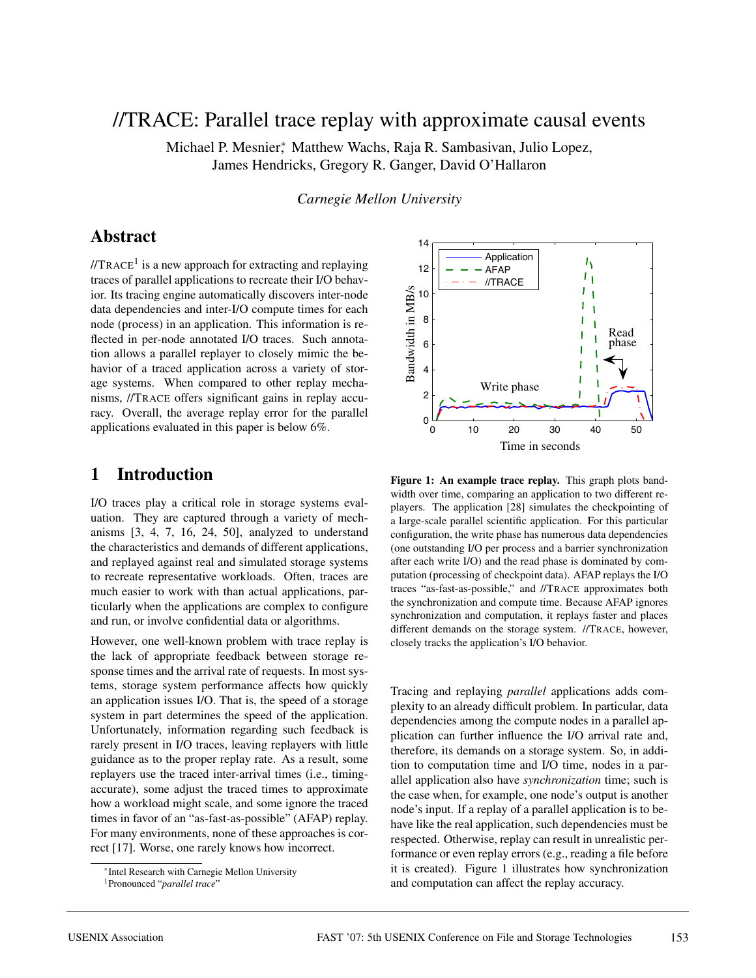# //TRACE: Parallel trace replay with approximate causal events

Michael P. Mesnier<sup>∗</sup> , Matthew Wachs, Raja R. Sambasivan, Julio Lopez, James Hendricks, Gregory R. Ganger, David O'Hallaron

*Carnegie Mellon University*

# **Abstract**

 $I/TRACE<sup>1</sup>$  is a new approach for extracting and replaying traces of parallel applications to recreate their I/O behavior. Its tracing engine automatically discovers inter-node data dependencies and inter-I/O compute times for each node (process) in an application. This information is reflected in per-node annotated I/O traces. Such annotation allows a parallel replayer to closely mimic the behavior of a traced application across a variety of storage systems. When compared to other replay mechanisms, //TRACE offers significant gains in replay accuracy. Overall, the average replay error for the parallel applications evaluated in this paper is below 6%.

# **1 Introduction**

I/O traces play a critical role in storage systems evaluation. They are captured through a variety of mechanisms [3, 4, 7, 16, 24, 50], analyzed to understand the characteristics and demands of different applications, and replayed against real and simulated storage systems to recreate representative workloads. Often, traces are much easier to work with than actual applications, particularly when the applications are complex to configure and run, or involve confidential data or algorithms.

However, one well-known problem with trace replay is the lack of appropriate feedback between storage response times and the arrival rate of requests. In most systems, storage system performance affects how quickly an application issues I/O. That is, the speed of a storage system in part determines the speed of the application. Unfortunately, information regarding such feedback is rarely present in I/O traces, leaving replayers with little guidance as to the proper replay rate. As a result, some replayers use the traced inter-arrival times (i.e., timingaccurate), some adjust the traced times to approximate how a workload might scale, and some ignore the traced times in favor of an "as-fast-as-possible" (AFAP) replay. For many environments, none of these approaches is correct [17]. Worse, one rarely knows how incorrect.



**Figure 1: An example trace replay.** This graph plots bandwidth over time, comparing an application to two different replayers. The application [28] simulates the checkpointing of a large-scale parallel scientific application. For this particular configuration, the write phase has numerous data dependencies (one outstanding I/O per process and a barrier synchronization after each write I/O) and the read phase is dominated by computation (processing of checkpoint data). AFAP replays the I/O traces "as-fast-as-possible," and //TRACE approximates both the synchronization and compute time. Because AFAP ignores synchronization and computation, it replays faster and places different demands on the storage system. //TRACE, however, closely tracks the application's I/O behavior.

Tracing and replaying *parallel* applications adds complexity to an already difficult problem. In particular, data dependencies among the compute nodes in a parallel application can further influence the I/O arrival rate and, therefore, its demands on a storage system. So, in addition to computation time and I/O time, nodes in a parallel application also have *synchronization* time; such is the case when, for example, one node's output is another node's input. If a replay of a parallel application is to behave like the real application, such dependencies must be respected. Otherwise, replay can result in unrealistic performance or even replay errors (e.g., reading a file before it is created). Figure 1 illustrates how synchronization and computation can affect the replay accuracy.

<sup>∗</sup>Intel Research with Carnegie Mellon University

<sup>1</sup>Pronounced "*parallel trace*"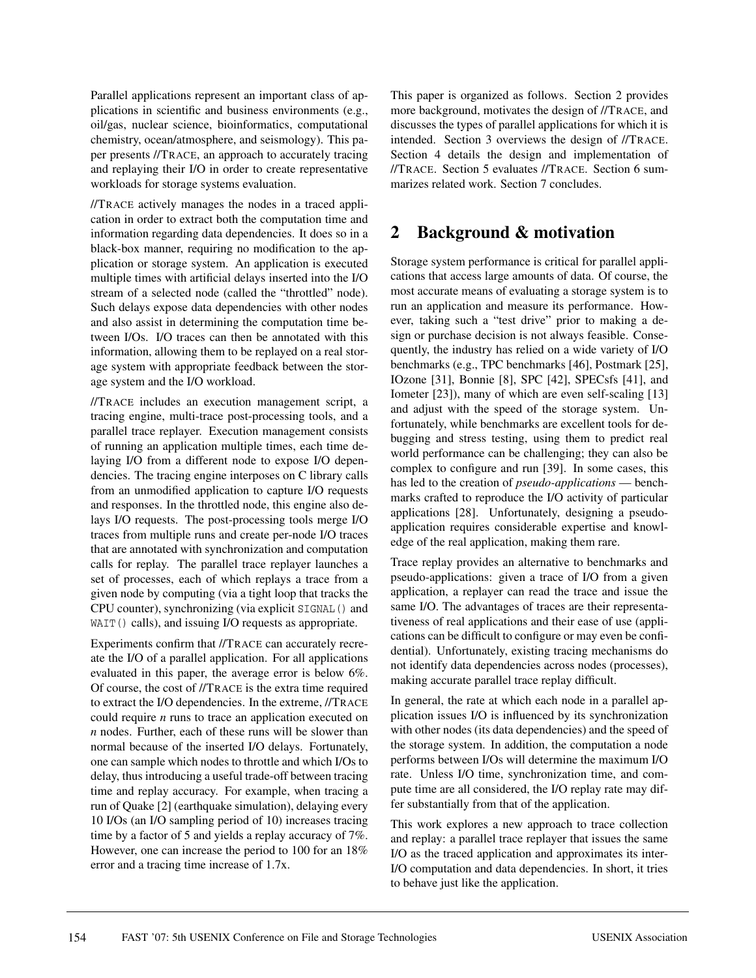Parallel applications represent an important class of applications in scientific and business environments (e.g., oil/gas, nuclear science, bioinformatics, computational chemistry, ocean/atmosphere, and seismology). This paper presents //TRACE, an approach to accurately tracing and replaying their I/O in order to create representative workloads for storage systems evaluation.

//TRACE actively manages the nodes in a traced application in order to extract both the computation time and information regarding data dependencies. It does so in a black-box manner, requiring no modification to the application or storage system. An application is executed multiple times with artificial delays inserted into the I/O stream of a selected node (called the "throttled" node). Such delays expose data dependencies with other nodes and also assist in determining the computation time between I/Os. I/O traces can then be annotated with this information, allowing them to be replayed on a real storage system with appropriate feedback between the storage system and the I/O workload.

//TRACE includes an execution management script, a tracing engine, multi-trace post-processing tools, and a parallel trace replayer. Execution management consists of running an application multiple times, each time delaying I/O from a different node to expose I/O dependencies. The tracing engine interposes on C library calls from an unmodified application to capture I/O requests and responses. In the throttled node, this engine also delays I/O requests. The post-processing tools merge I/O traces from multiple runs and create per-node I/O traces that are annotated with synchronization and computation calls for replay. The parallel trace replayer launches a set of processes, each of which replays a trace from a given node by computing (via a tight loop that tracks the CPU counter), synchronizing (via explicit SIGNAL() and WAIT() calls), and issuing I/O requests as appropriate.

Experiments confirm that //TRACE can accurately recreate the I/O of a parallel application. For all applications evaluated in this paper, the average error is below 6%. Of course, the cost of //TRACE is the extra time required to extract the I/O dependencies. In the extreme, //TRACE could require *n* runs to trace an application executed on *n* nodes. Further, each of these runs will be slower than normal because of the inserted I/O delays. Fortunately, one can sample which nodes to throttle and which I/Os to delay, thus introducing a useful trade-off between tracing time and replay accuracy. For example, when tracing a run of Quake [2] (earthquake simulation), delaying every 10 I/Os (an I/O sampling period of 10) increases tracing time by a factor of 5 and yields a replay accuracy of 7%. However, one can increase the period to 100 for an 18% error and a tracing time increase of 1.7x.

This paper is organized as follows. Section 2 provides more background, motivates the design of //TRACE, and discusses the types of parallel applications for which it is intended. Section 3 overviews the design of //TRACE. Section 4 details the design and implementation of //TRACE. Section 5 evaluates //TRACE. Section 6 summarizes related work. Section 7 concludes.

# **2 Background & motivation**

Storage system performance is critical for parallel applications that access large amounts of data. Of course, the most accurate means of evaluating a storage system is to run an application and measure its performance. However, taking such a "test drive" prior to making a design or purchase decision is not always feasible. Consequently, the industry has relied on a wide variety of I/O benchmarks (e.g., TPC benchmarks [46], Postmark [25], IOzone [31], Bonnie [8], SPC [42], SPECsfs [41], and Iometer [23]), many of which are even self-scaling [13] and adjust with the speed of the storage system. Unfortunately, while benchmarks are excellent tools for debugging and stress testing, using them to predict real world performance can be challenging; they can also be complex to configure and run [39]. In some cases, this has led to the creation of *pseudo-applications* — benchmarks crafted to reproduce the I/O activity of particular applications [28]. Unfortunately, designing a pseudoapplication requires considerable expertise and knowledge of the real application, making them rare.

Trace replay provides an alternative to benchmarks and pseudo-applications: given a trace of I/O from a given application, a replayer can read the trace and issue the same I/O. The advantages of traces are their representativeness of real applications and their ease of use (applications can be difficult to configure or may even be confidential). Unfortunately, existing tracing mechanisms do not identify data dependencies across nodes (processes), making accurate parallel trace replay difficult.

In general, the rate at which each node in a parallel application issues I/O is influenced by its synchronization with other nodes (its data dependencies) and the speed of the storage system. In addition, the computation a node performs between I/Os will determine the maximum I/O rate. Unless I/O time, synchronization time, and compute time are all considered, the I/O replay rate may differ substantially from that of the application.

This work explores a new approach to trace collection and replay: a parallel trace replayer that issues the same I/O as the traced application and approximates its inter-I/O computation and data dependencies. In short, it tries to behave just like the application.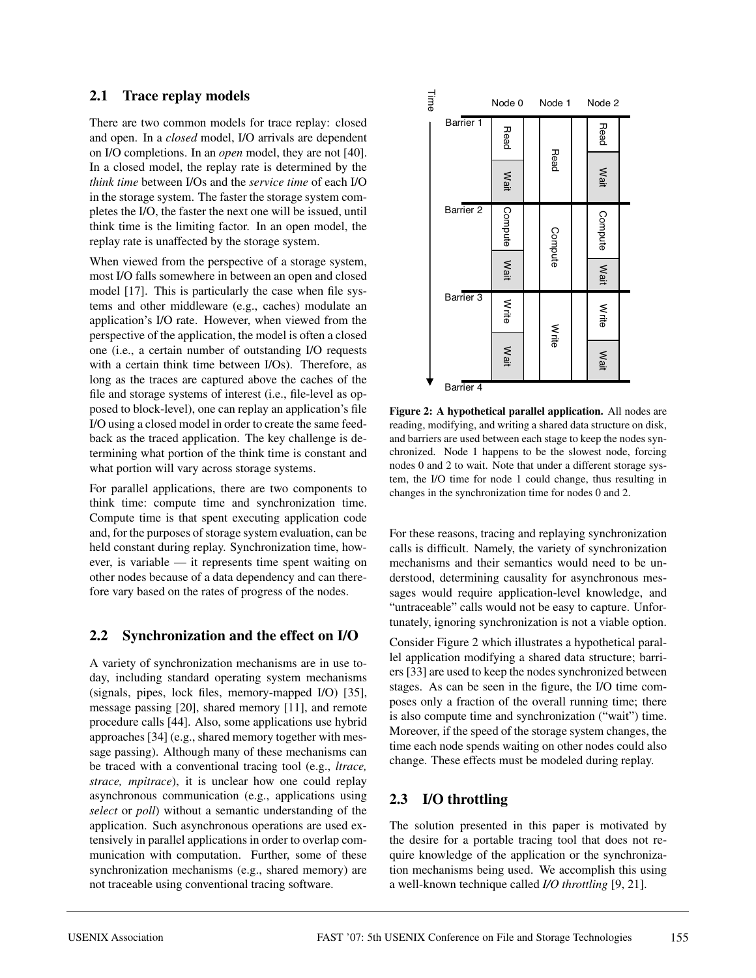## **2.1 Trace replay models**

There are two common models for trace replay: closed and open. In a *closed* model, I/O arrivals are dependent on I/O completions. In an *open* model, they are not [40]. In a closed model, the replay rate is determined by the *think time* between I/Os and the *service time* of each I/O in the storage system. The faster the storage system completes the I/O, the faster the next one will be issued, until think time is the limiting factor. In an open model, the replay rate is unaffected by the storage system.

When viewed from the perspective of a storage system, most I/O falls somewhere in between an open and closed model [17]. This is particularly the case when file systems and other middleware (e.g., caches) modulate an application's I/O rate. However, when viewed from the perspective of the application, the model is often a closed one (i.e., a certain number of outstanding I/O requests with a certain think time between I/Os). Therefore, as long as the traces are captured above the caches of the file and storage systems of interest (i.e., file-level as opposed to block-level), one can replay an application's file I/O using a closed model in order to create the same feedback as the traced application. The key challenge is determining what portion of the think time is constant and what portion will vary across storage systems.

For parallel applications, there are two components to think time: compute time and synchronization time. Compute time is that spent executing application code and, for the purposes of storage system evaluation, can be held constant during replay. Synchronization time, however, is variable — it represents time spent waiting on other nodes because of a data dependency and can therefore vary based on the rates of progress of the nodes.

# **2.2 Synchronization and the effect on I/O**

A variety of synchronization mechanisms are in use today, including standard operating system mechanisms (signals, pipes, lock files, memory-mapped I/O) [35], message passing [20], shared memory [11], and remote procedure calls [44]. Also, some applications use hybrid approaches [34] (e.g., shared memory together with message passing). Although many of these mechanisms can be traced with a conventional tracing tool (e.g., *ltrace, strace, mpitrace*), it is unclear how one could replay asynchronous communication (e.g., applications using *select* or *poll*) without a semantic understanding of the application. Such asynchronous operations are used extensively in parallel applications in order to overlap communication with computation. Further, some of these synchronization mechanisms (e.g., shared memory) are not traceable using conventional tracing software.



**Figure 2: A hypothetical parallel application.** All nodes are reading, modifying, and writing a shared data structure on disk, and barriers are used between each stage to keep the nodes synchronized. Node 1 happens to be the slowest node, forcing nodes 0 and 2 to wait. Note that under a different storage system, the I/O time for node 1 could change, thus resulting in changes in the synchronization time for nodes 0 and 2.

For these reasons, tracing and replaying synchronization calls is difficult. Namely, the variety of synchronization mechanisms and their semantics would need to be understood, determining causality for asynchronous messages would require application-level knowledge, and "untraceable" calls would not be easy to capture. Unfortunately, ignoring synchronization is not a viable option.

Consider Figure 2 which illustrates a hypothetical parallel application modifying a shared data structure; barriers [33] are used to keep the nodes synchronized between stages. As can be seen in the figure, the I/O time composes only a fraction of the overall running time; there is also compute time and synchronization ("wait") time. Moreover, if the speed of the storage system changes, the time each node spends waiting on other nodes could also change. These effects must be modeled during replay.

# **2.3 I/O throttling**

The solution presented in this paper is motivated by the desire for a portable tracing tool that does not require knowledge of the application or the synchronization mechanisms being used. We accomplish this using a well-known technique called *I/O throttling* [9, 21].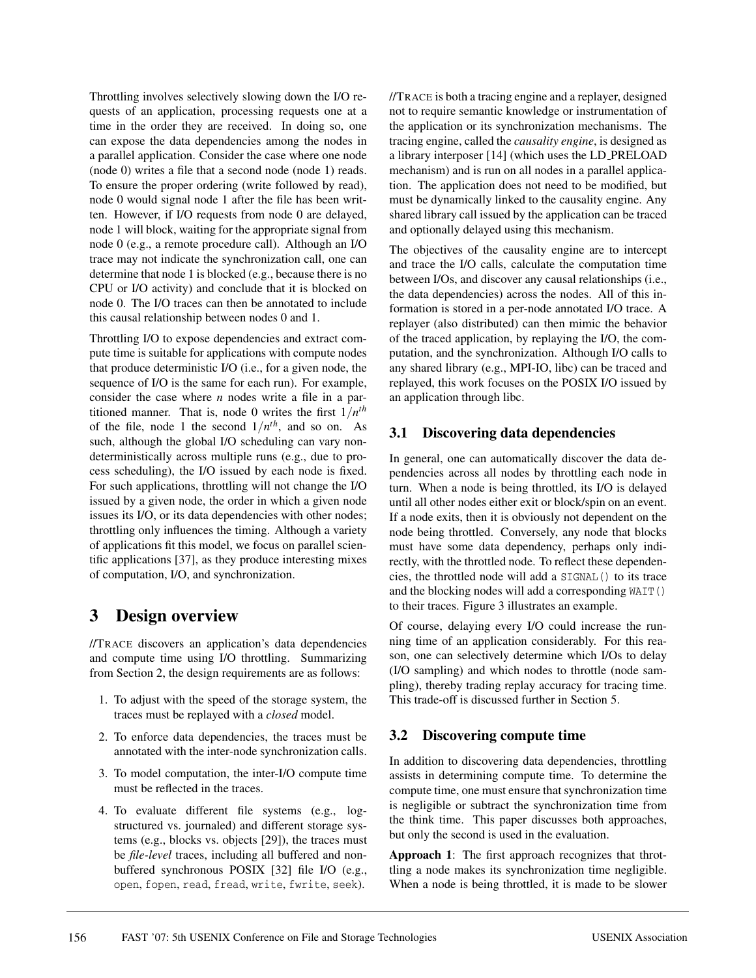Throttling involves selectively slowing down the I/O requests of an application, processing requests one at a time in the order they are received. In doing so, one can expose the data dependencies among the nodes in a parallel application. Consider the case where one node (node 0) writes a file that a second node (node 1) reads. To ensure the proper ordering (write followed by read), node 0 would signal node 1 after the file has been written. However, if I/O requests from node 0 are delayed, node 1 will block, waiting for the appropriate signal from node 0 (e.g., a remote procedure call). Although an I/O trace may not indicate the synchronization call, one can determine that node 1 is blocked (e.g., because there is no CPU or I/O activity) and conclude that it is blocked on node 0. The I/O traces can then be annotated to include this causal relationship between nodes 0 and 1.

Throttling I/O to expose dependencies and extract compute time is suitable for applications with compute nodes that produce deterministic I/O (i.e., for a given node, the sequence of I/O is the same for each run). For example, consider the case where *n* nodes write a file in a partitioned manner. That is, node 0 writes the first  $1/n^{th}$ of the file, node 1 the second  $1/n^{th}$ , and so on. As such, although the global I/O scheduling can vary nondeterministically across multiple runs (e.g., due to process scheduling), the I/O issued by each node is fixed. For such applications, throttling will not change the I/O issued by a given node, the order in which a given node issues its I/O, or its data dependencies with other nodes; throttling only influences the timing. Although a variety of applications fit this model, we focus on parallel scientific applications [37], as they produce interesting mixes of computation, I/O, and synchronization.

# **3 Design overview**

//TRACE discovers an application's data dependencies and compute time using I/O throttling. Summarizing from Section 2, the design requirements are as follows:

- 1. To adjust with the speed of the storage system, the traces must be replayed with a *closed* model.
- 2. To enforce data dependencies, the traces must be annotated with the inter-node synchronization calls.
- 3. To model computation, the inter-I/O compute time must be reflected in the traces.
- 4. To evaluate different file systems (e.g., logstructured vs. journaled) and different storage systems (e.g., blocks vs. objects [29]), the traces must be *file-level* traces, including all buffered and nonbuffered synchronous POSIX [32] file I/O (e.g., open, fopen, read, fread, write, fwrite, seek).

//TRACE is both a tracing engine and a replayer, designed not to require semantic knowledge or instrumentation of the application or its synchronization mechanisms. The tracing engine, called the *causality engine*, is designed as a library interposer [14] (which uses the LD PRELOAD mechanism) and is run on all nodes in a parallel application. The application does not need to be modified, but must be dynamically linked to the causality engine. Any shared library call issued by the application can be traced and optionally delayed using this mechanism.

The objectives of the causality engine are to intercept and trace the I/O calls, calculate the computation time between I/Os, and discover any causal relationships (i.e., the data dependencies) across the nodes. All of this information is stored in a per-node annotated I/O trace. A replayer (also distributed) can then mimic the behavior of the traced application, by replaying the I/O, the computation, and the synchronization. Although I/O calls to any shared library (e.g., MPI-IO, libc) can be traced and replayed, this work focuses on the POSIX I/O issued by an application through libc.

## **3.1 Discovering data dependencies**

In general, one can automatically discover the data dependencies across all nodes by throttling each node in turn. When a node is being throttled, its I/O is delayed until all other nodes either exit or block/spin on an event. If a node exits, then it is obviously not dependent on the node being throttled. Conversely, any node that blocks must have some data dependency, perhaps only indirectly, with the throttled node. To reflect these dependencies, the throttled node will add a SIGNAL() to its trace and the blocking nodes will add a corresponding WAIT() to their traces. Figure 3 illustrates an example.

Of course, delaying every I/O could increase the running time of an application considerably. For this reason, one can selectively determine which I/Os to delay (I/O sampling) and which nodes to throttle (node sampling), thereby trading replay accuracy for tracing time. This trade-off is discussed further in Section 5.

## **3.2 Discovering compute time**

In addition to discovering data dependencies, throttling assists in determining compute time. To determine the compute time, one must ensure that synchronization time is negligible or subtract the synchronization time from the think time. This paper discusses both approaches, but only the second is used in the evaluation.

**Approach 1**: The first approach recognizes that throttling a node makes its synchronization time negligible. When a node is being throttled, it is made to be slower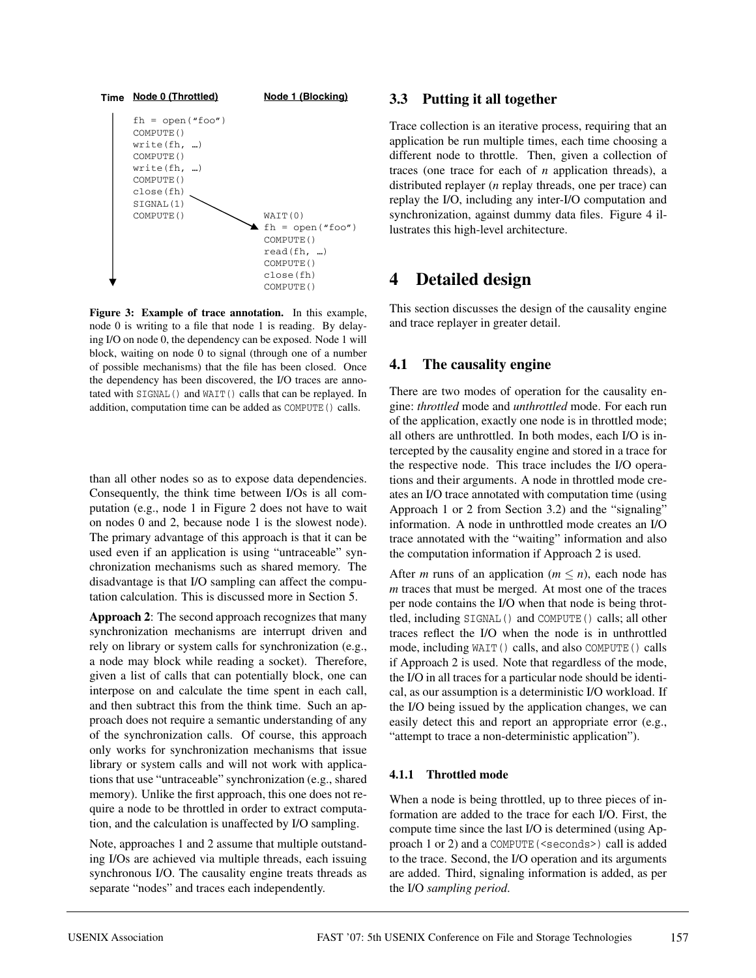

**Figure 3: Example of trace annotation.** In this example, node 0 is writing to a file that node 1 is reading. By delaying I/O on node 0, the dependency can be exposed. Node 1 will block, waiting on node 0 to signal (through one of a number of possible mechanisms) that the file has been closed. Once the dependency has been discovered, the I/O traces are annotated with SIGNAL() and WAIT() calls that can be replayed. In addition, computation time can be added as COMPUTE() calls.

than all other nodes so as to expose data dependencies. Consequently, the think time between I/Os is all computation (e.g., node 1 in Figure 2 does not have to wait on nodes 0 and 2, because node 1 is the slowest node). The primary advantage of this approach is that it can be used even if an application is using "untraceable" synchronization mechanisms such as shared memory. The disadvantage is that I/O sampling can affect the computation calculation. This is discussed more in Section 5.

**Approach 2**: The second approach recognizes that many synchronization mechanisms are interrupt driven and rely on library or system calls for synchronization (e.g., a node may block while reading a socket). Therefore, given a list of calls that can potentially block, one can interpose on and calculate the time spent in each call, and then subtract this from the think time. Such an approach does not require a semantic understanding of any of the synchronization calls. Of course, this approach only works for synchronization mechanisms that issue library or system calls and will not work with applications that use "untraceable" synchronization (e.g., shared memory). Unlike the first approach, this one does not require a node to be throttled in order to extract computation, and the calculation is unaffected by I/O sampling.

Note, approaches 1 and 2 assume that multiple outstanding I/Os are achieved via multiple threads, each issuing synchronous I/O. The causality engine treats threads as separate "nodes" and traces each independently.

#### **3.3 Putting it all together**

Trace collection is an iterative process, requiring that an application be run multiple times, each time choosing a different node to throttle. Then, given a collection of traces (one trace for each of *n* application threads), a distributed replayer (*n* replay threads, one per trace) can replay the I/O, including any inter-I/O computation and synchronization, against dummy data files. Figure 4 illustrates this high-level architecture.

# **4 Detailed design**

This section discusses the design of the causality engine and trace replayer in greater detail.

#### **4.1 The causality engine**

There are two modes of operation for the causality engine: *throttled* mode and *unthrottled* mode. For each run of the application, exactly one node is in throttled mode; all others are unthrottled. In both modes, each I/O is intercepted by the causality engine and stored in a trace for the respective node. This trace includes the I/O operations and their arguments. A node in throttled mode creates an I/O trace annotated with computation time (using Approach 1 or 2 from Section 3.2) and the "signaling" information. A node in unthrottled mode creates an I/O trace annotated with the "waiting" information and also the computation information if Approach 2 is used.

After *m* runs of an application ( $m \le n$ ), each node has *m* traces that must be merged. At most one of the traces per node contains the I/O when that node is being throttled, including SIGNAL() and COMPUTE() calls; all other traces reflect the I/O when the node is in unthrottled mode, including WAIT() calls, and also COMPUTE() calls if Approach 2 is used. Note that regardless of the mode, the I/O in all traces for a particular node should be identical, as our assumption is a deterministic I/O workload. If the I/O being issued by the application changes, we can easily detect this and report an appropriate error (e.g., "attempt to trace a non-deterministic application").

#### **4.1.1 Throttled mode**

When a node is being throttled, up to three pieces of information are added to the trace for each I/O. First, the compute time since the last I/O is determined (using Approach 1 or 2) and a COMPUTE(<seconds>) call is added to the trace. Second, the I/O operation and its arguments are added. Third, signaling information is added, as per the I/O *sampling period*.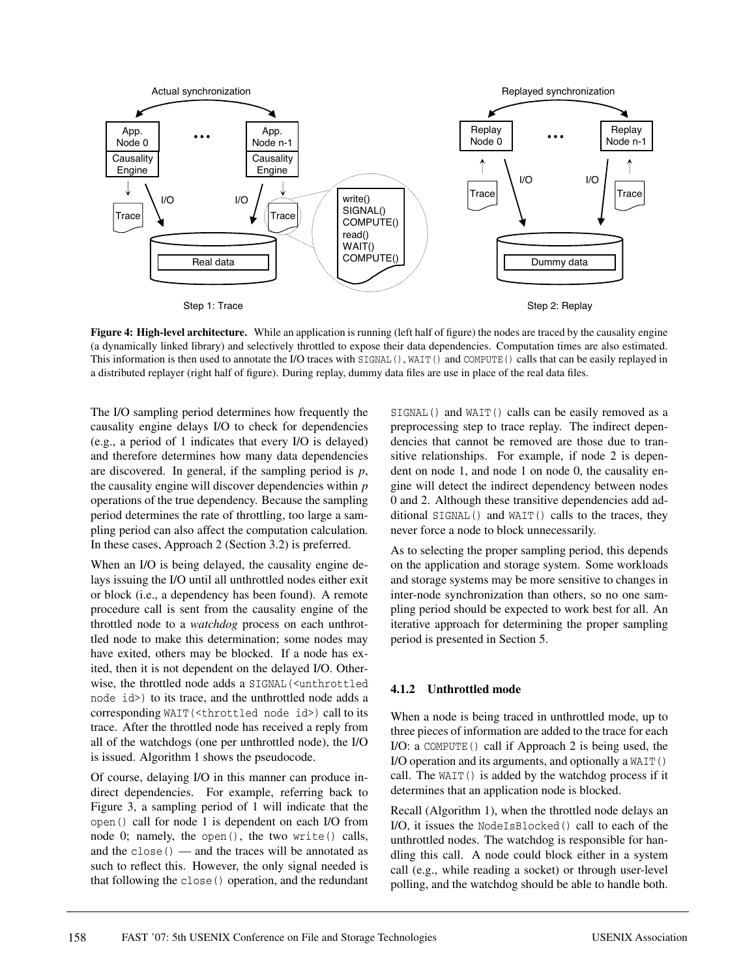

**Figure 4: High-level architecture.** While an application is running (left half of figure) the nodes are traced by the causality engine (a dynamically linked library) and selectively throttled to expose their data dependencies. Computation times are also estimated. This information is then used to annotate the I/O traces with SIGNAL(), WAIT() and COMPUTE() calls that can be easily replayed in a distributed replayer (right half of figure). During replay, dummy data files are use in place of the real data files.

The I/O sampling period determines how frequently the causality engine delays I/O to check for dependencies (e.g., a period of 1 indicates that every I/O is delayed) and therefore determines how many data dependencies are discovered. In general, if the sampling period is *p*, the causality engine will discover dependencies within *p* operations of the true dependency. Because the sampling period determines the rate of throttling, too large a sampling period can also affect the computation calculation. In these cases, Approach 2 (Section 3.2) is preferred.

When an I/O is being delayed, the causality engine delays issuing the I/O until all unthrottled nodes either exit or block (i.e., a dependency has been found). A remote procedure call is sent from the causality engine of the throttled node to a *watchdog* process on each unthrottled node to make this determination; some nodes may have exited, others may be blocked. If a node has exited, then it is not dependent on the delayed I/O. Otherwise, the throttled node adds a SIGNAL(<unthrottled node id>) to its trace, and the unthrottled node adds a corresponding WAIT(<throttled node id>) call to its trace. After the throttled node has received a reply from all of the watchdogs (one per unthrottled node), the I/O is issued. Algorithm 1 shows the pseudocode.

Of course, delaying I/O in this manner can produce indirect dependencies. For example, referring back to Figure 3, a sampling period of 1 will indicate that the open() call for node 1 is dependent on each I/O from node 0; namely, the open(), the two write() calls, and the close() — and the traces will be annotated as such to reflect this. However, the only signal needed is that following the close() operation, and the redundant

SIGNAL() and WAIT() calls can be easily removed as a preprocessing step to trace replay. The indirect dependencies that cannot be removed are those due to transitive relationships. For example, if node 2 is dependent on node 1, and node 1 on node 0, the causality engine will detect the indirect dependency between nodes 0 and 2. Although these transitive dependencies add additional SIGNAL() and WAIT() calls to the traces, they never force a node to block unnecessarily.

As to selecting the proper sampling period, this depends on the application and storage system. Some workloads and storage systems may be more sensitive to changes in inter-node synchronization than others, so no one sampling period should be expected to work best for all. An iterative approach for determining the proper sampling period is presented in Section 5.

#### **4.1.2 Unthrottled mode**

When a node is being traced in unthrottled mode, up to three pieces of information are added to the trace for each I/O: a COMPUTE() call if Approach 2 is being used, the I/O operation and its arguments, and optionally a WAIT() call. The  $WAIT()$  is added by the watchdog process if it determines that an application node is blocked.

Recall (Algorithm 1), when the throttled node delays an I/O, it issues the NodeIsBlocked() call to each of the unthrottled nodes. The watchdog is responsible for handling this call. A node could block either in a system call (e.g., while reading a socket) or through user-level polling, and the watchdog should be able to handle both.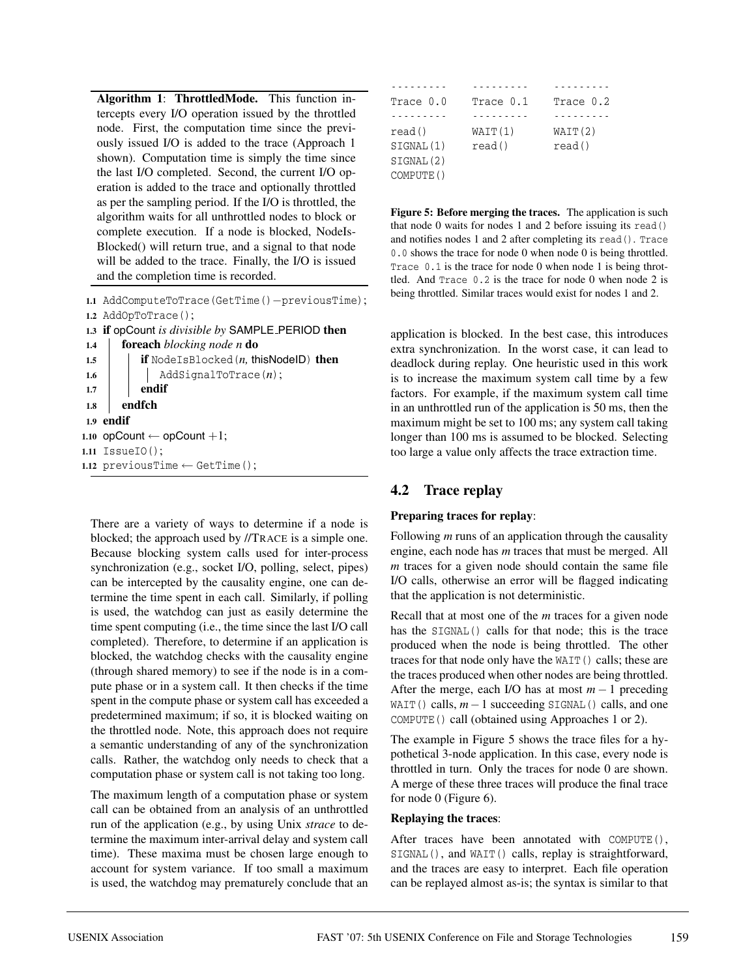**Algorithm 1**: **ThrottledMode.** This function intercepts every I/O operation issued by the throttled node. First, the computation time since the previously issued I/O is added to the trace (Approach 1 shown). Computation time is simply the time since the last I/O completed. Second, the current I/O operation is added to the trace and optionally throttled as per the sampling period. If the I/O is throttled, the algorithm waits for all unthrottled nodes to block or complete execution. If a node is blocked, NodeIs-Blocked() will return true, and a signal to that node will be added to the trace. Finally, the I/O is issued and the completion time is recorded.

**1.1** AddComputeToTrace(GetTime()−previousTime); **1.2** AddOpToTrace(); **1.3 if** opCount *is divisible by* SAMPLE PERIOD **then 1.4 foreach** *blocking node n* **do 1.5 if** NodeIsBlocked(*n,* thisNodeID) **then** 1.6 AddSignalToTrace(*n*); **1.7 endif 1.8 endfch 1.9 endif** 1.10 opCount  $\leftarrow$  opCount  $+1$ ; **1.11** IssueIO(); **1.12** previousTime  $\leftarrow$  GetTime();

There are a variety of ways to determine if a node is blocked; the approach used by //TRACE is a simple one. Because blocking system calls used for inter-process synchronization (e.g., socket I/O, polling, select, pipes) can be intercepted by the causality engine, one can determine the time spent in each call. Similarly, if polling is used, the watchdog can just as easily determine the time spent computing (i.e., the time since the last I/O call completed). Therefore, to determine if an application is blocked, the watchdog checks with the causality engine (through shared memory) to see if the node is in a compute phase or in a system call. It then checks if the time spent in the compute phase or system call has exceeded a predetermined maximum; if so, it is blocked waiting on the throttled node. Note, this approach does not require a semantic understanding of any of the synchronization calls. Rather, the watchdog only needs to check that a computation phase or system call is not taking too long.

The maximum length of a computation phase or system call can be obtained from an analysis of an unthrottled run of the application (e.g., by using Unix *strace* to determine the maximum inter-arrival delay and system call time). These maxima must be chosen large enough to account for system variance. If too small a maximum is used, the watchdog may prematurely conclude that an

| Trace 0.0 | Trace 0.1 | Trace 0.2 |
|-----------|-----------|-----------|
|           |           |           |
| read()    | WAIT(1)   | WATT(2)   |
| SIGNAL(1) | read()    | read()    |
| SIGNAL(2) |           |           |
| COMPUTE() |           |           |

**Figure 5: Before merging the traces.** The application is such that node 0 waits for nodes 1 and 2 before issuing its read() and notifies nodes 1 and 2 after completing its read(). Trace 0.0 shows the trace for node 0 when node 0 is being throttled. Trace  $0.1$  is the trace for node 0 when node 1 is being throttled. And Trace 0.2 is the trace for node 0 when node 2 is being throttled. Similar traces would exist for nodes 1 and 2.

application is blocked. In the best case, this introduces extra synchronization. In the worst case, it can lead to deadlock during replay. One heuristic used in this work is to increase the maximum system call time by a few factors. For example, if the maximum system call time in an unthrottled run of the application is 50 ms, then the maximum might be set to 100 ms; any system call taking longer than 100 ms is assumed to be blocked. Selecting too large a value only affects the trace extraction time.

## **4.2 Trace replay**

#### **Preparing traces for replay**:

Following *m* runs of an application through the causality engine, each node has *m* traces that must be merged. All *m* traces for a given node should contain the same file I/O calls, otherwise an error will be flagged indicating that the application is not deterministic.

Recall that at most one of the *m* traces for a given node has the SIGNAL() calls for that node; this is the trace produced when the node is being throttled. The other traces for that node only have the WAIT() calls; these are the traces produced when other nodes are being throttled. After the merge, each I/O has at most  $m - 1$  preceding WAIT() calls, *m*−1 succeeding SIGNAL() calls, and one COMPUTE() call (obtained using Approaches 1 or 2).

The example in Figure 5 shows the trace files for a hypothetical 3-node application. In this case, every node is throttled in turn. Only the traces for node 0 are shown. A merge of these three traces will produce the final trace for node 0 (Figure 6).

#### **Replaying the traces**:

After traces have been annotated with COMPUTE(), SIGNAL(), and WAIT() calls, replay is straightforward, and the traces are easy to interpret. Each file operation can be replayed almost as-is; the syntax is similar to that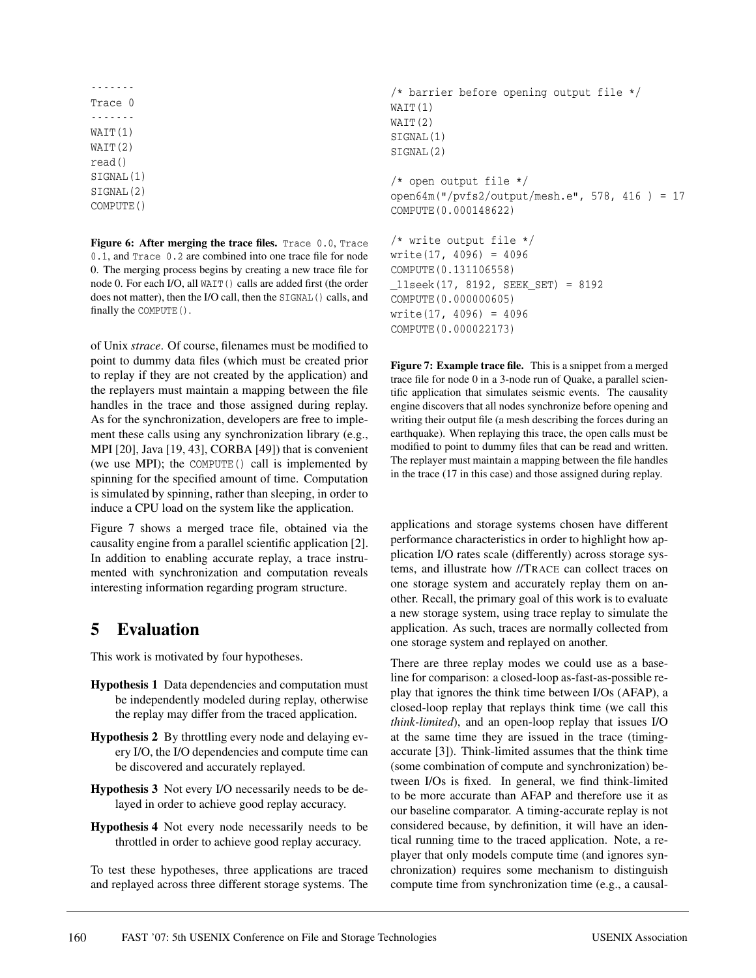------- Trace 0 ------- WAIT(1) WAIT(2) read() SIGNAL(1) SIGNAL(2) COMPUTE()

**Figure 6: After merging the trace files.** Trace 0.0, Trace 0.1, and Trace 0.2 are combined into one trace file for node 0. The merging process begins by creating a new trace file for node 0. For each I/O, all WAIT() calls are added first (the order does not matter), then the I/O call, then the SIGNAL() calls, and finally the COMPUTE().

of Unix *strace*. Of course, filenames must be modified to point to dummy data files (which must be created prior to replay if they are not created by the application) and the replayers must maintain a mapping between the file handles in the trace and those assigned during replay. As for the synchronization, developers are free to implement these calls using any synchronization library (e.g., MPI [20], Java [19, 43], CORBA [49]) that is convenient (we use MPI); the COMPUTE() call is implemented by spinning for the specified amount of time. Computation is simulated by spinning, rather than sleeping, in order to induce a CPU load on the system like the application.

Figure 7 shows a merged trace file, obtained via the causality engine from a parallel scientific application [2]. In addition to enabling accurate replay, a trace instrumented with synchronization and computation reveals interesting information regarding program structure.

# **5 Evaluation**

This work is motivated by four hypotheses.

- **Hypothesis 1** Data dependencies and computation must be independently modeled during replay, otherwise the replay may differ from the traced application.
- **Hypothesis 2** By throttling every node and delaying every I/O, the I/O dependencies and compute time can be discovered and accurately replayed.
- **Hypothesis 3** Not every I/O necessarily needs to be delayed in order to achieve good replay accuracy.
- **Hypothesis 4** Not every node necessarily needs to be throttled in order to achieve good replay accuracy.

To test these hypotheses, three applications are traced and replayed across three different storage systems. The

```
/* barrier before opening output file */
WAIT(1)
WAIT(2)
SIGNAL(1)
SIGNAL(2)
/* open output file */
open64m("/pvfs2/output/mesh.e", 578, 416 ) = 17
COMPUTE(0.000148622)
/* write output file */
write(17, 4096) = 4096
COMPUTE(0.131106558)
_llseek(17, 8192, SEEK_SET) = 8192
```
COMPUTE(0.000000605) write(17, 4096) = 4096 COMPUTE(0.000022173) **Figure 7: Example trace file.** This is a snippet from a merged

trace file for node 0 in a 3-node run of Quake, a parallel scientific application that simulates seismic events. The causality engine discovers that all nodes synchronize before opening and writing their output file (a mesh describing the forces during an earthquake). When replaying this trace, the open calls must be modified to point to dummy files that can be read and written. The replayer must maintain a mapping between the file handles in the trace (17 in this case) and those assigned during replay.

applications and storage systems chosen have different performance characteristics in order to highlight how application I/O rates scale (differently) across storage systems, and illustrate how //TRACE can collect traces on one storage system and accurately replay them on another. Recall, the primary goal of this work is to evaluate a new storage system, using trace replay to simulate the application. As such, traces are normally collected from one storage system and replayed on another.

There are three replay modes we could use as a baseline for comparison: a closed-loop as-fast-as-possible replay that ignores the think time between I/Os (AFAP), a closed-loop replay that replays think time (we call this *think-limited*), and an open-loop replay that issues I/O at the same time they are issued in the trace (timingaccurate [3]). Think-limited assumes that the think time (some combination of compute and synchronization) between I/Os is fixed. In general, we find think-limited to be more accurate than AFAP and therefore use it as our baseline comparator. A timing-accurate replay is not considered because, by definition, it will have an identical running time to the traced application. Note, a replayer that only models compute time (and ignores synchronization) requires some mechanism to distinguish compute time from synchronization time (e.g., a causal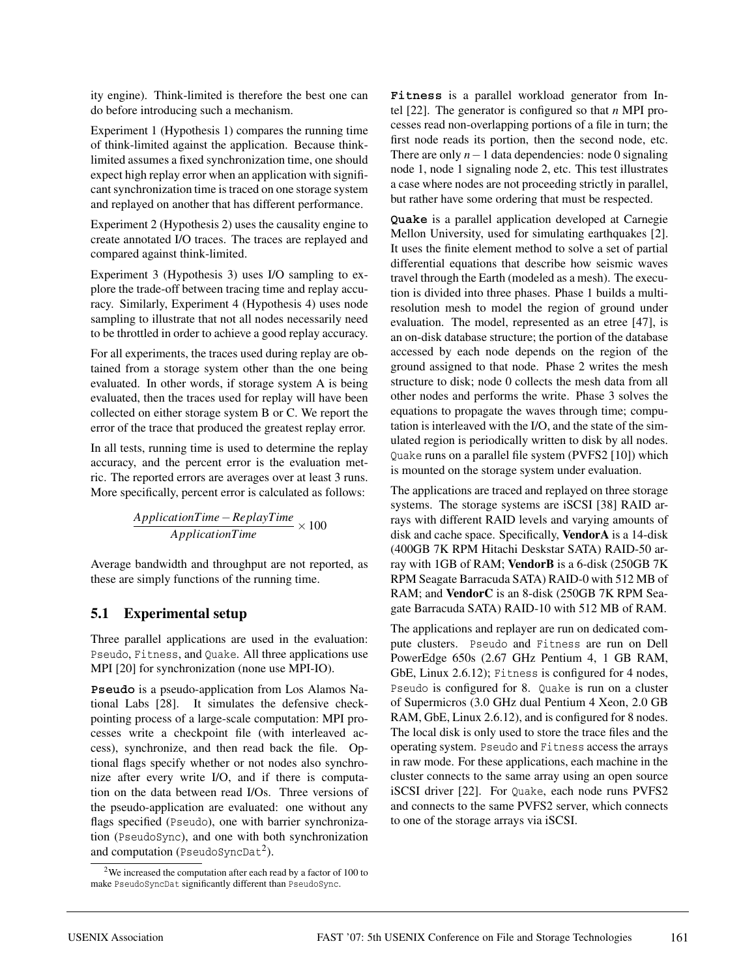ity engine). Think-limited is therefore the best one can do before introducing such a mechanism.

Experiment 1 (Hypothesis 1) compares the running time of think-limited against the application. Because thinklimited assumes a fixed synchronization time, one should expect high replay error when an application with significant synchronization time is traced on one storage system and replayed on another that has different performance.

Experiment 2 (Hypothesis 2) uses the causality engine to create annotated I/O traces. The traces are replayed and compared against think-limited.

Experiment 3 (Hypothesis 3) uses I/O sampling to explore the trade-off between tracing time and replay accuracy. Similarly, Experiment 4 (Hypothesis 4) uses node sampling to illustrate that not all nodes necessarily need to be throttled in order to achieve a good replay accuracy.

For all experiments, the traces used during replay are obtained from a storage system other than the one being evaluated. In other words, if storage system A is being evaluated, then the traces used for replay will have been collected on either storage system B or C. We report the error of the trace that produced the greatest replay error.

In all tests, running time is used to determine the replay accuracy, and the percent error is the evaluation metric. The reported errors are averages over at least 3 runs. More specifically, percent error is calculated as follows:

$$
\frac{ApplicationTime - ReplayTime}{ApplicationTime} \times 100
$$

Average bandwidth and throughput are not reported, as these are simply functions of the running time.

# **5.1 Experimental setup**

Three parallel applications are used in the evaluation: Pseudo, Fitness, and Quake. All three applications use MPI [20] for synchronization (none use MPI-IO).

**Pseudo** is a pseudo-application from Los Alamos National Labs [28]. It simulates the defensive checkpointing process of a large-scale computation: MPI processes write a checkpoint file (with interleaved access), synchronize, and then read back the file. Optional flags specify whether or not nodes also synchronize after every write I/O, and if there is computation on the data between read I/Os. Three versions of the pseudo-application are evaluated: one without any flags specified (Pseudo), one with barrier synchronization (PseudoSync), and one with both synchronization and computation (PseudoSyncDat<sup>2</sup>).

**Fitness** is a parallel workload generator from Intel [22]. The generator is configured so that *n* MPI processes read non-overlapping portions of a file in turn; the first node reads its portion, then the second node, etc. There are only *n*−1 data dependencies: node 0 signaling node 1, node 1 signaling node 2, etc. This test illustrates a case where nodes are not proceeding strictly in parallel, but rather have some ordering that must be respected.

**Quake** is a parallel application developed at Carnegie Mellon University, used for simulating earthquakes [2]. It uses the finite element method to solve a set of partial differential equations that describe how seismic waves travel through the Earth (modeled as a mesh). The execution is divided into three phases. Phase 1 builds a multiresolution mesh to model the region of ground under evaluation. The model, represented as an etree [47], is an on-disk database structure; the portion of the database accessed by each node depends on the region of the ground assigned to that node. Phase 2 writes the mesh structure to disk; node 0 collects the mesh data from all other nodes and performs the write. Phase 3 solves the equations to propagate the waves through time; computation is interleaved with the I/O, and the state of the simulated region is periodically written to disk by all nodes. Quake runs on a parallel file system (PVFS2 [10]) which is mounted on the storage system under evaluation.

The applications are traced and replayed on three storage systems. The storage systems are iSCSI [38] RAID arrays with different RAID levels and varying amounts of disk and cache space. Specifically, **VendorA** is a 14-disk (400GB 7K RPM Hitachi Deskstar SATA) RAID-50 array with 1GB of RAM; **VendorB** is a 6-disk (250GB 7K RPM Seagate Barracuda SATA) RAID-0 with 512 MB of RAM; and **VendorC** is an 8-disk (250GB 7K RPM Seagate Barracuda SATA) RAID-10 with 512 MB of RAM.

The applications and replayer are run on dedicated compute clusters. Pseudo and Fitness are run on Dell PowerEdge 650s (2.67 GHz Pentium 4, 1 GB RAM, GbE, Linux 2.6.12); Fitness is configured for 4 nodes, Pseudo is configured for 8. Quake is run on a cluster of Supermicros (3.0 GHz dual Pentium 4 Xeon, 2.0 GB RAM, GbE, Linux 2.6.12), and is configured for 8 nodes. The local disk is only used to store the trace files and the operating system. Pseudo and Fitness access the arrays in raw mode. For these applications, each machine in the cluster connects to the same array using an open source iSCSI driver [22]. For Quake, each node runs PVFS2 and connects to the same PVFS2 server, which connects to one of the storage arrays via iSCSI.

<sup>2</sup>We increased the computation after each read by a factor of 100 to make PseudoSyncDat significantly different than PseudoSync.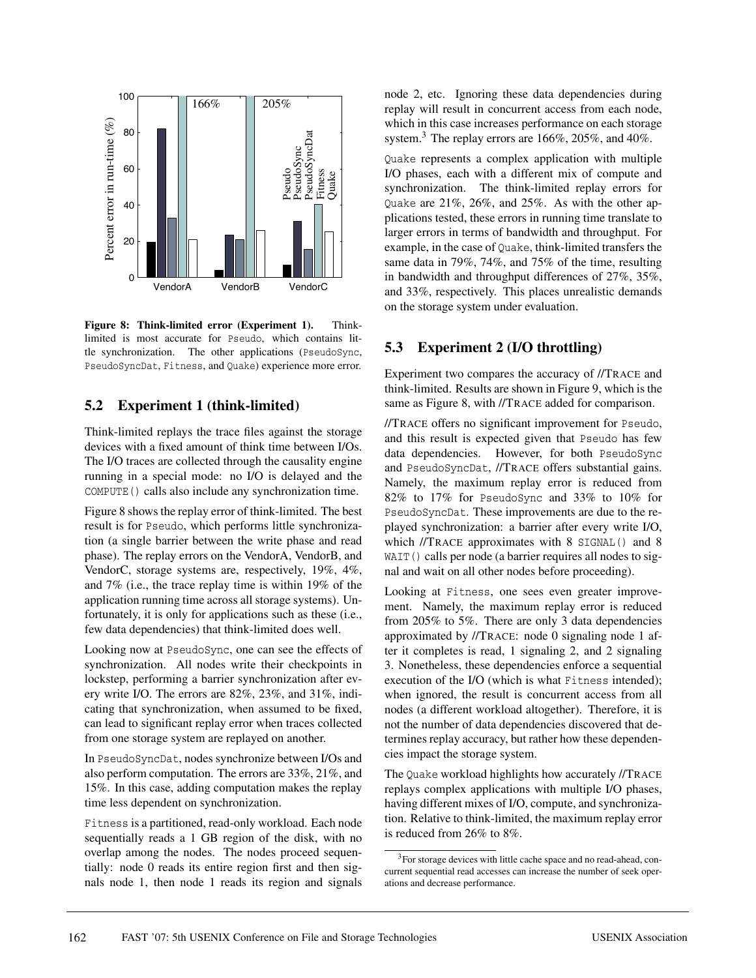

**Figure 8: Think-limited error (Experiment 1).** Thinklimited is most accurate for Pseudo, which contains little synchronization. The other applications (PseudoSync, PseudoSyncDat, Fitness, and Quake) experience more error.

#### **5.2 Experiment 1 (think-limited)**

Think-limited replays the trace files against the storage devices with a fixed amount of think time between I/Os. The I/O traces are collected through the causality engine running in a special mode: no I/O is delayed and the COMPUTE() calls also include any synchronization time.

Figure 8 shows the replay error of think-limited. The best result is for Pseudo, which performs little synchronization (a single barrier between the write phase and read phase). The replay errors on the VendorA, VendorB, and VendorC, storage systems are, respectively, 19%, 4%, and 7% (i.e., the trace replay time is within 19% of the application running time across all storage systems). Unfortunately, it is only for applications such as these (i.e., few data dependencies) that think-limited does well.

Looking now at PseudoSync, one can see the effects of synchronization. All nodes write their checkpoints in lockstep, performing a barrier synchronization after every write I/O. The errors are 82%, 23%, and 31%, indicating that synchronization, when assumed to be fixed, can lead to significant replay error when traces collected from one storage system are replayed on another.

In PseudoSyncDat, nodes synchronize between I/Os and also perform computation. The errors are 33%, 21%, and 15%. In this case, adding computation makes the replay time less dependent on synchronization.

Fitness is a partitioned, read-only workload. Each node sequentially reads a 1 GB region of the disk, with no overlap among the nodes. The nodes proceed sequentially: node 0 reads its entire region first and then signals node 1, then node 1 reads its region and signals node 2, etc. Ignoring these data dependencies during replay will result in concurrent access from each node, which in this case increases performance on each storage system.<sup>3</sup> The replay errors are  $166\%$ ,  $205\%$ , and  $40\%$ .

Quake represents a complex application with multiple I/O phases, each with a different mix of compute and synchronization. The think-limited replay errors for Quake are 21%, 26%, and 25%. As with the other applications tested, these errors in running time translate to larger errors in terms of bandwidth and throughput. For example, in the case of Quake, think-limited transfers the same data in 79%, 74%, and 75% of the time, resulting in bandwidth and throughput differences of 27%, 35%, and 33%, respectively. This places unrealistic demands on the storage system under evaluation.

## **5.3 Experiment 2 (I/O throttling)**

Experiment two compares the accuracy of //TRACE and think-limited. Results are shown in Figure 9, which is the same as Figure 8, with //TRACE added for comparison.

//TRACE offers no significant improvement for Pseudo, and this result is expected given that Pseudo has few data dependencies. However, for both PseudoSync and PseudoSyncDat, //TRACE offers substantial gains. Namely, the maximum replay error is reduced from 82% to 17% for PseudoSync and 33% to 10% for PseudoSyncDat. These improvements are due to the replayed synchronization: a barrier after every write I/O, which //TRACE approximates with 8 SIGNAL() and 8 WAIT() calls per node (a barrier requires all nodes to signal and wait on all other nodes before proceeding).

Looking at Fitness, one sees even greater improvement. Namely, the maximum replay error is reduced from 205% to 5%. There are only 3 data dependencies approximated by //TRACE: node 0 signaling node 1 after it completes is read, 1 signaling 2, and 2 signaling 3. Nonetheless, these dependencies enforce a sequential execution of the I/O (which is what Fitness intended); when ignored, the result is concurrent access from all nodes (a different workload altogether). Therefore, it is not the number of data dependencies discovered that determines replay accuracy, but rather how these dependencies impact the storage system.

The Quake workload highlights how accurately //TRACE replays complex applications with multiple I/O phases, having different mixes of I/O, compute, and synchronization. Relative to think-limited, the maximum replay error is reduced from 26% to 8%.

<sup>&</sup>lt;sup>3</sup>For storage devices with little cache space and no read-ahead, concurrent sequential read accesses can increase the number of seek operations and decrease performance.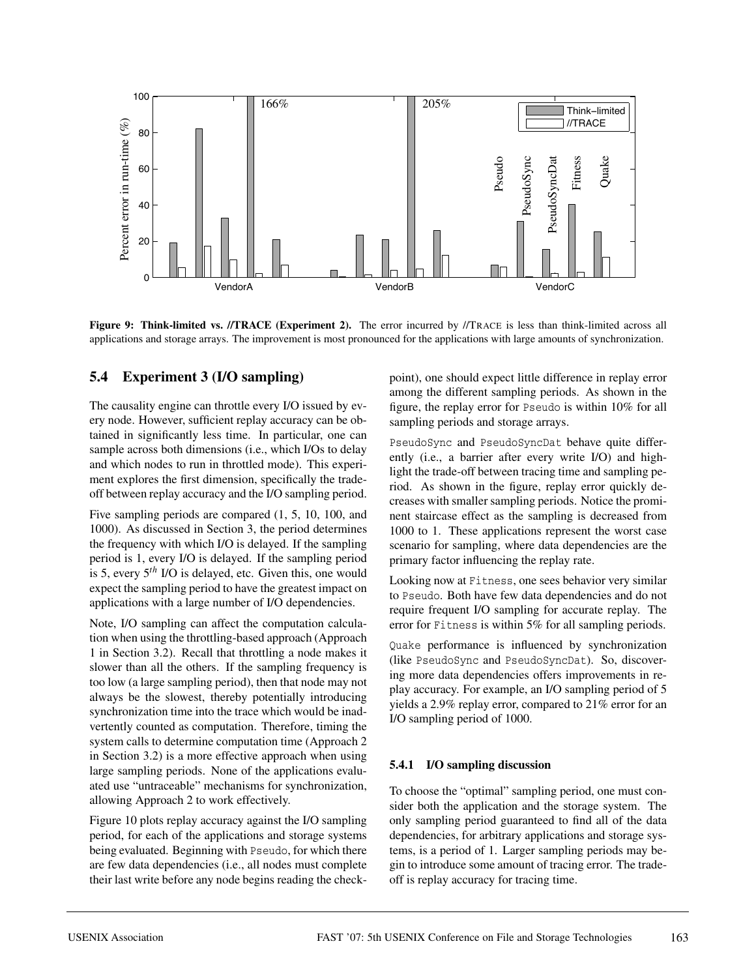

**Figure 9: Think-limited vs. //TRACE (Experiment 2).** The error incurred by //TRACE is less than think-limited across all applications and storage arrays. The improvement is most pronounced for the applications with large amounts of synchronization.

## **5.4 Experiment 3 (I/O sampling)**

The causality engine can throttle every I/O issued by every node. However, sufficient replay accuracy can be obtained in significantly less time. In particular, one can sample across both dimensions (i.e., which I/Os to delay and which nodes to run in throttled mode). This experiment explores the first dimension, specifically the tradeoff between replay accuracy and the I/O sampling period.

Five sampling periods are compared (1, 5, 10, 100, and 1000). As discussed in Section 3, the period determines the frequency with which I/O is delayed. If the sampling period is 1, every I/O is delayed. If the sampling period is 5, every 5*th* I/O is delayed, etc. Given this, one would expect the sampling period to have the greatest impact on applications with a large number of I/O dependencies.

Note, I/O sampling can affect the computation calculation when using the throttling-based approach (Approach 1 in Section 3.2). Recall that throttling a node makes it slower than all the others. If the sampling frequency is too low (a large sampling period), then that node may not always be the slowest, thereby potentially introducing synchronization time into the trace which would be inadvertently counted as computation. Therefore, timing the system calls to determine computation time (Approach 2 in Section 3.2) is a more effective approach when using large sampling periods. None of the applications evaluated use "untraceable" mechanisms for synchronization, allowing Approach 2 to work effectively.

Figure 10 plots replay accuracy against the I/O sampling period, for each of the applications and storage systems being evaluated. Beginning with Pseudo, for which there are few data dependencies (i.e., all nodes must complete their last write before any node begins reading the checkpoint), one should expect little difference in replay error among the different sampling periods. As shown in the figure, the replay error for Pseudo is within 10% for all sampling periods and storage arrays.

PseudoSync and PseudoSyncDat behave quite differently (i.e., a barrier after every write I/O) and highlight the trade-off between tracing time and sampling period. As shown in the figure, replay error quickly decreases with smaller sampling periods. Notice the prominent staircase effect as the sampling is decreased from 1000 to 1. These applications represent the worst case scenario for sampling, where data dependencies are the primary factor influencing the replay rate.

Looking now at Fitness, one sees behavior very similar to Pseudo. Both have few data dependencies and do not require frequent I/O sampling for accurate replay. The error for Fitness is within 5% for all sampling periods.

Quake performance is influenced by synchronization (like PseudoSync and PseudoSyncDat). So, discovering more data dependencies offers improvements in replay accuracy. For example, an I/O sampling period of 5 yields a 2.9% replay error, compared to 21% error for an I/O sampling period of 1000.

#### **5.4.1 I/O sampling discussion**

To choose the "optimal" sampling period, one must consider both the application and the storage system. The only sampling period guaranteed to find all of the data dependencies, for arbitrary applications and storage systems, is a period of 1. Larger sampling periods may begin to introduce some amount of tracing error. The tradeoff is replay accuracy for tracing time.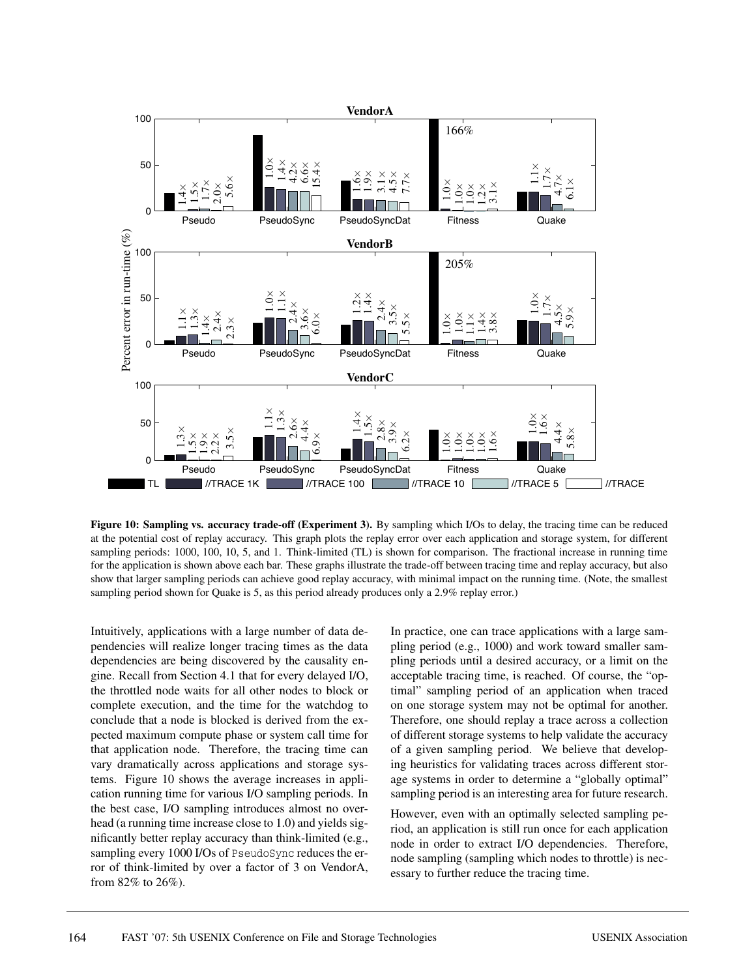

**Figure 10: Sampling vs. accuracy trade-off (Experiment 3).** By sampling which I/Os to delay, the tracing time can be reduced at the potential cost of replay accuracy. This graph plots the replay error over each application and storage system, for different sampling periods: 1000, 100, 10, 5, and 1. Think-limited (TL) is shown for comparison. The fractional increase in running time for the application is shown above each bar. These graphs illustrate the trade-off between tracing time and replay accuracy, but also show that larger sampling periods can achieve good replay accuracy, with minimal impact on the running time. (Note, the smallest sampling period shown for Quake is 5, as this period already produces only a 2.9% replay error.)

Intuitively, applications with a large number of data dependencies will realize longer tracing times as the data dependencies are being discovered by the causality engine. Recall from Section 4.1 that for every delayed I/O, the throttled node waits for all other nodes to block or complete execution, and the time for the watchdog to conclude that a node is blocked is derived from the expected maximum compute phase or system call time for that application node. Therefore, the tracing time can vary dramatically across applications and storage systems. Figure 10 shows the average increases in application running time for various I/O sampling periods. In the best case, I/O sampling introduces almost no overhead (a running time increase close to 1.0) and yields significantly better replay accuracy than think-limited (e.g., sampling every 1000 I/Os of PseudoSync reduces the error of think-limited by over a factor of 3 on VendorA, from 82% to 26%).

In practice, one can trace applications with a large sampling period (e.g., 1000) and work toward smaller sampling periods until a desired accuracy, or a limit on the acceptable tracing time, is reached. Of course, the "optimal" sampling period of an application when traced on one storage system may not be optimal for another. Therefore, one should replay a trace across a collection of different storage systems to help validate the accuracy of a given sampling period. We believe that developing heuristics for validating traces across different storage systems in order to determine a "globally optimal" sampling period is an interesting area for future research.

However, even with an optimally selected sampling period, an application is still run once for each application node in order to extract I/O dependencies. Therefore, node sampling (sampling which nodes to throttle) is necessary to further reduce the tracing time.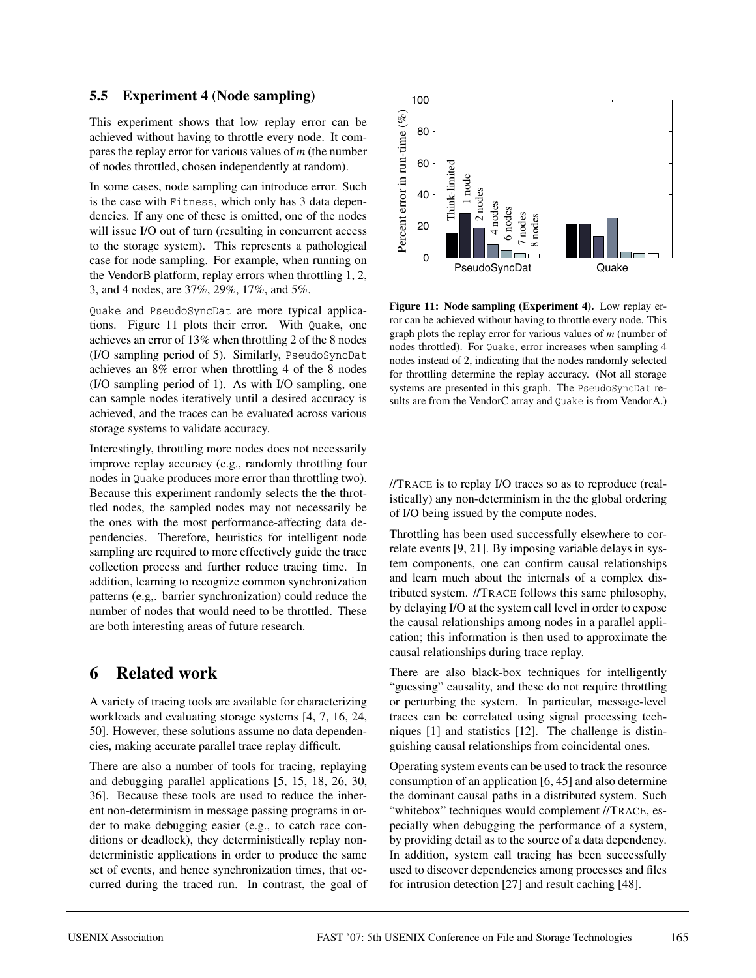## **5.5 Experiment 4 (Node sampling)**

This experiment shows that low replay error can be achieved without having to throttle every node. It compares the replay error for various values of *m* (the number of nodes throttled, chosen independently at random).

In some cases, node sampling can introduce error. Such is the case with Fitness, which only has 3 data dependencies. If any one of these is omitted, one of the nodes will issue I/O out of turn (resulting in concurrent access to the storage system). This represents a pathological case for node sampling. For example, when running on the VendorB platform, replay errors when throttling 1, 2, 3, and 4 nodes, are 37%, 29%, 17%, and 5%.

Quake and PseudoSyncDat are more typical applications. Figure 11 plots their error. With Quake, one achieves an error of 13% when throttling 2 of the 8 nodes (I/O sampling period of 5). Similarly, PseudoSyncDat achieves an 8% error when throttling 4 of the 8 nodes (I/O sampling period of 1). As with I/O sampling, one can sample nodes iteratively until a desired accuracy is achieved, and the traces can be evaluated across various storage systems to validate accuracy.

Interestingly, throttling more nodes does not necessarily improve replay accuracy (e.g., randomly throttling four nodes in Quake produces more error than throttling two). Because this experiment randomly selects the the throttled nodes, the sampled nodes may not necessarily be the ones with the most performance-affecting data dependencies. Therefore, heuristics for intelligent node sampling are required to more effectively guide the trace collection process and further reduce tracing time. In addition, learning to recognize common synchronization patterns (e.g,. barrier synchronization) could reduce the number of nodes that would need to be throttled. These are both interesting areas of future research.

# **6 Related work**

A variety of tracing tools are available for characterizing workloads and evaluating storage systems [4, 7, 16, 24, 50]. However, these solutions assume no data dependencies, making accurate parallel trace replay difficult.

There are also a number of tools for tracing, replaying and debugging parallel applications [5, 15, 18, 26, 30, 36]. Because these tools are used to reduce the inherent non-determinism in message passing programs in order to make debugging easier (e.g., to catch race conditions or deadlock), they deterministically replay nondeterministic applications in order to produce the same set of events, and hence synchronization times, that occurred during the traced run. In contrast, the goal of



**Figure 11: Node sampling (Experiment 4).** Low replay error can be achieved without having to throttle every node. This graph plots the replay error for various values of *m* (number of nodes throttled). For Quake, error increases when sampling 4 nodes instead of 2, indicating that the nodes randomly selected for throttling determine the replay accuracy. (Not all storage systems are presented in this graph. The PseudoSyncDat results are from the VendorC array and Quake is from VendorA.)

//TRACE is to replay I/O traces so as to reproduce (realistically) any non-determinism in the the global ordering of I/O being issued by the compute nodes.

Throttling has been used successfully elsewhere to correlate events [9, 21]. By imposing variable delays in system components, one can confirm causal relationships and learn much about the internals of a complex distributed system. //TRACE follows this same philosophy, by delaying I/O at the system call level in order to expose the causal relationships among nodes in a parallel application; this information is then used to approximate the causal relationships during trace replay.

There are also black-box techniques for intelligently "guessing" causality, and these do not require throttling or perturbing the system. In particular, message-level traces can be correlated using signal processing techniques [1] and statistics [12]. The challenge is distinguishing causal relationships from coincidental ones.

Operating system events can be used to track the resource consumption of an application [6, 45] and also determine the dominant causal paths in a distributed system. Such "whitebox" techniques would complement //TRACE, especially when debugging the performance of a system, by providing detail as to the source of a data dependency. In addition, system call tracing has been successfully used to discover dependencies among processes and files for intrusion detection [27] and result caching [48].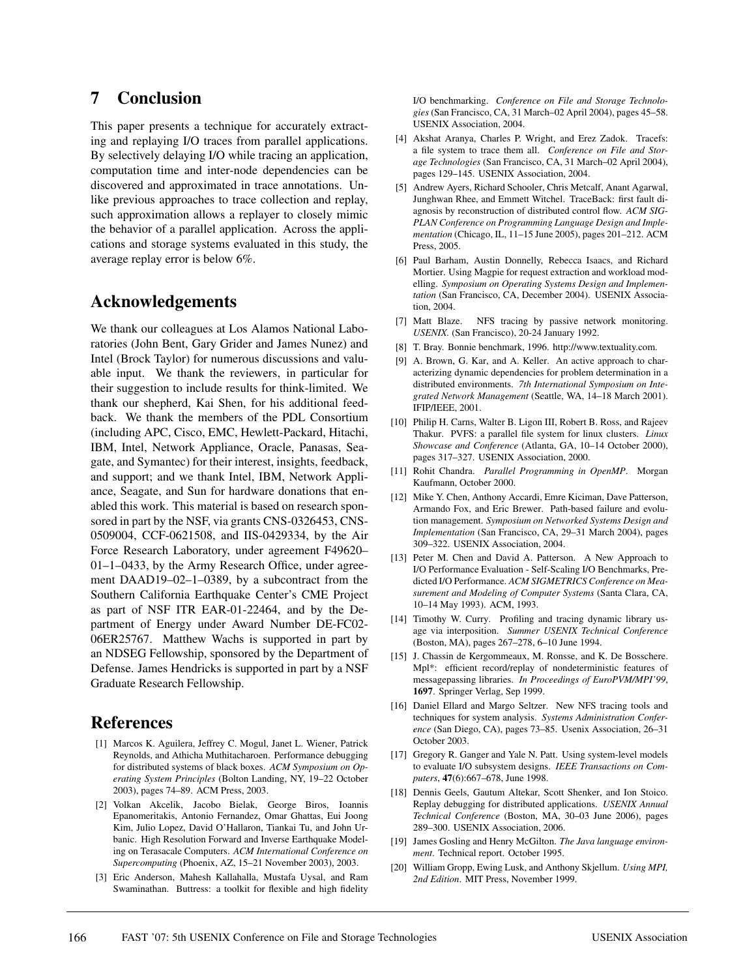# **7 Conclusion**

This paper presents a technique for accurately extracting and replaying I/O traces from parallel applications. By selectively delaying I/O while tracing an application, computation time and inter-node dependencies can be discovered and approximated in trace annotations. Unlike previous approaches to trace collection and replay, such approximation allows a replayer to closely mimic the behavior of a parallel application. Across the applications and storage systems evaluated in this study, the average replay error is below 6%.

## **Acknowledgements**

We thank our colleagues at Los Alamos National Laboratories (John Bent, Gary Grider and James Nunez) and Intel (Brock Taylor) for numerous discussions and valuable input. We thank the reviewers, in particular for their suggestion to include results for think-limited. We thank our shepherd, Kai Shen, for his additional feedback. We thank the members of the PDL Consortium (including APC, Cisco, EMC, Hewlett-Packard, Hitachi, IBM, Intel, Network Appliance, Oracle, Panasas, Seagate, and Symantec) for their interest, insights, feedback, and support; and we thank Intel, IBM, Network Appliance, Seagate, and Sun for hardware donations that enabled this work. This material is based on research sponsored in part by the NSF, via grants CNS-0326453, CNS-0509004, CCF-0621508, and IIS-0429334, by the Air Force Research Laboratory, under agreement F49620– 01–1–0433, by the Army Research Office, under agreement DAAD19–02–1–0389, by a subcontract from the Southern California Earthquake Center's CME Project as part of NSF ITR EAR-01-22464, and by the Department of Energy under Award Number DE-FC02- 06ER25767. Matthew Wachs is supported in part by an NDSEG Fellowship, sponsored by the Department of Defense. James Hendricks is supported in part by a NSF Graduate Research Fellowship.

# **References**

- [1] Marcos K. Aguilera, Jeffrey C. Mogul, Janet L. Wiener, Patrick Reynolds, and Athicha Muthitacharoen. Performance debugging for distributed systems of black boxes. *ACM Symposium on Operating System Principles* (Bolton Landing, NY, 19–22 October 2003), pages 74–89. ACM Press, 2003.
- [2] Volkan Akcelik, Jacobo Bielak, George Biros, Ioannis Epanomeritakis, Antonio Fernandez, Omar Ghattas, Eui Joong Kim, Julio Lopez, David O'Hallaron, Tiankai Tu, and John Urbanic. High Resolution Forward and Inverse Earthquake Modeling on Terasacale Computers. *ACM International Conference on Supercomputing* (Phoenix, AZ, 15–21 November 2003), 2003.
- [3] Eric Anderson, Mahesh Kallahalla, Mustafa Uysal, and Ram Swaminathan. Buttress: a toolkit for flexible and high fidelity

I/O benchmarking. *Conference on File and Storage Technologies* (San Francisco, CA, 31 March–02 April 2004), pages 45–58. USENIX Association, 2004.

- [4] Akshat Aranya, Charles P. Wright, and Erez Zadok. Tracefs: a file system to trace them all. *Conference on File and Storage Technologies* (San Francisco, CA, 31 March–02 April 2004), pages 129–145. USENIX Association, 2004.
- [5] Andrew Ayers, Richard Schooler, Chris Metcalf, Anant Agarwal, Junghwan Rhee, and Emmett Witchel. TraceBack: first fault diagnosis by reconstruction of distributed control flow. *ACM SIG-PLAN Conference on Programming Language Design and Implementation* (Chicago, IL, 11–15 June 2005), pages 201–212. ACM Press, 2005.
- [6] Paul Barham, Austin Donnelly, Rebecca Isaacs, and Richard Mortier. Using Magpie for request extraction and workload modelling. *Symposium on Operating Systems Design and Implementation* (San Francisco, CA, December 2004). USENIX Association, 2004.
- [7] Matt Blaze. NFS tracing by passive network monitoring. *USENIX.* (San Francisco), 20-24 January 1992.
- [8] T. Bray. Bonnie benchmark, 1996. http://www.textuality.com.
- [9] A. Brown, G. Kar, and A. Keller. An active approach to characterizing dynamic dependencies for problem determination in a distributed environments. *7th International Symposium on Integrated Network Management* (Seattle, WA, 14–18 March 2001). IFIP/IEEE, 2001.
- [10] Philip H. Carns, Walter B. Ligon III, Robert B. Ross, and Rajeev Thakur. PVFS: a parallel file system for linux clusters. *Linux Showcase and Conference* (Atlanta, GA, 10–14 October 2000), pages 317–327. USENIX Association, 2000.
- [11] Rohit Chandra. *Parallel Programming in OpenMP*. Morgan Kaufmann, October 2000.
- [12] Mike Y. Chen, Anthony Accardi, Emre Kiciman, Dave Patterson, Armando Fox, and Eric Brewer. Path-based failure and evolution management. *Symposium on Networked Systems Design and Implementation* (San Francisco, CA, 29–31 March 2004), pages 309–322. USENIX Association, 2004.
- [13] Peter M. Chen and David A. Patterson. A New Approach to I/O Performance Evaluation - Self-Scaling I/O Benchmarks, Predicted I/O Performance. *ACM SIGMETRICS Conference on Measurement and Modeling of Computer Systems* (Santa Clara, CA, 10–14 May 1993). ACM, 1993.
- [14] Timothy W. Curry. Profiling and tracing dynamic library usage via interposition. *Summer USENIX Technical Conference* (Boston, MA), pages 267–278, 6–10 June 1994.
- [15] J. Chassin de Kergommeaux, M. Ronsse, and K. De Bosschere. Mpl\*: efficient record/replay of nondeterministic features of messagepassing libraries. *In Proceedings of EuroPVM/MPI'99*, **1697**. Springer Verlag, Sep 1999.
- [16] Daniel Ellard and Margo Seltzer. New NFS tracing tools and techniques for system analysis. *Systems Administration Conference* (San Diego, CA), pages 73–85. Usenix Association, 26–31 October 2003.
- [17] Gregory R. Ganger and Yale N. Patt. Using system-level models to evaluate I/O subsystem designs. *IEEE Transactions on Computers*, **47**(6):667–678, June 1998.
- [18] Dennis Geels, Gautum Altekar, Scott Shenker, and Ion Stoico. Replay debugging for distributed applications. *USENIX Annual Technical Conference* (Boston, MA, 30–03 June 2006), pages 289–300. USENIX Association, 2006.
- [19] James Gosling and Henry McGilton. *The Java language environment*. Technical report. October 1995.
- [20] William Gropp, Ewing Lusk, and Anthony Skjellum. *Using MPI, 2nd Edition*. MIT Press, November 1999.